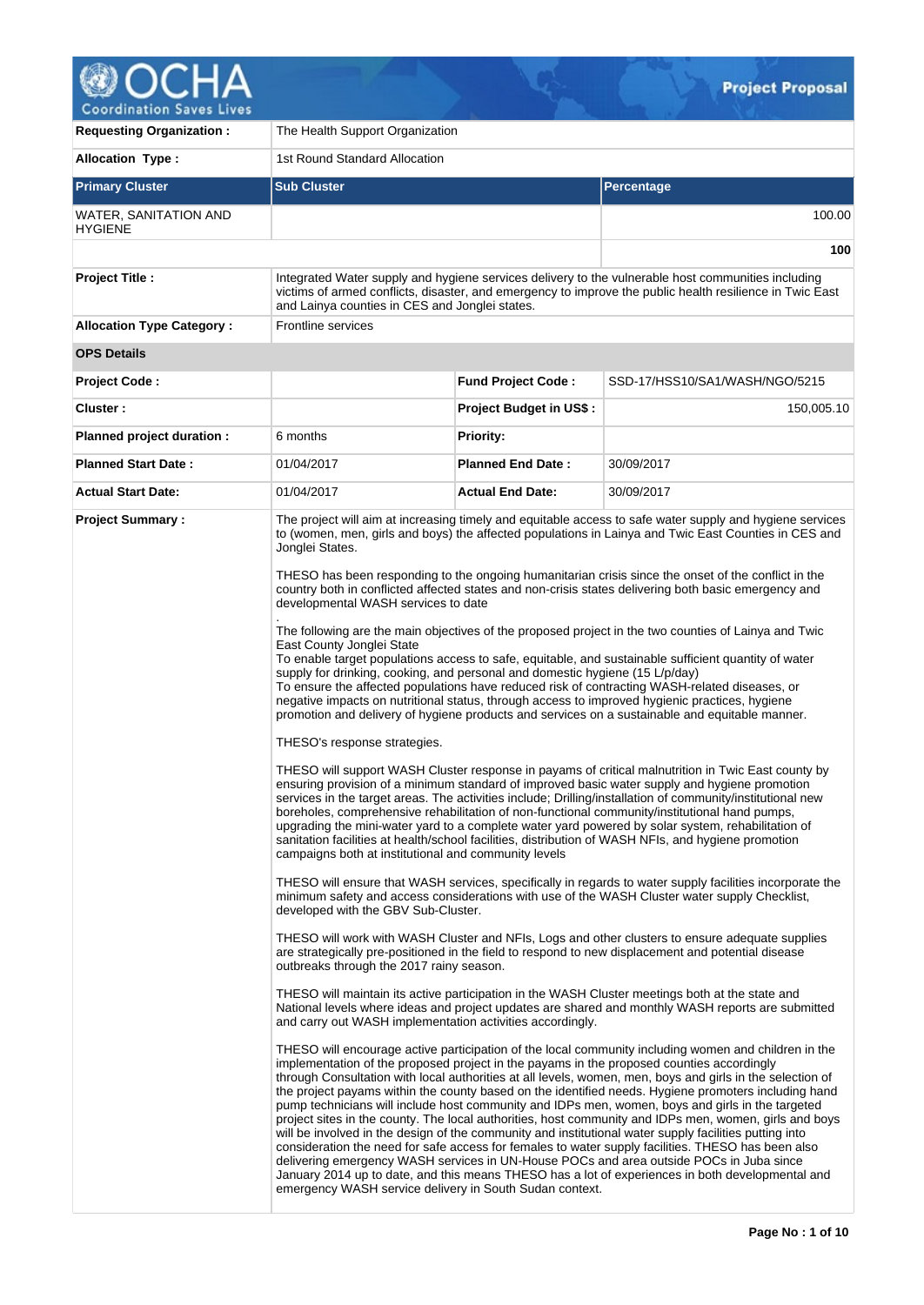

| <b>Requesting Organization:</b>         | The Health Support Organization                                                                                                                                                                                                                                                                                                                                                                                                                                                                                                                                     |                                |                                                                                                                                                                                                                                                                                                                                                                                                                                                                                                                                                                                                                                                                                                                                                                                                                                                                                                                                                                                                                                                                                                                                                                                                                                                                                                                                                                                                                                                                                                                                                                                                                                                                                                                                                                                                                                                                                                                                                                                                                                                                                                                                                                                                                                                                                                                                                                                                                                                                                                                                                                                                                                                                                                                                                                                                                                                                                                                                                                                                                                                                                                                                                                                |  |
|-----------------------------------------|---------------------------------------------------------------------------------------------------------------------------------------------------------------------------------------------------------------------------------------------------------------------------------------------------------------------------------------------------------------------------------------------------------------------------------------------------------------------------------------------------------------------------------------------------------------------|--------------------------------|--------------------------------------------------------------------------------------------------------------------------------------------------------------------------------------------------------------------------------------------------------------------------------------------------------------------------------------------------------------------------------------------------------------------------------------------------------------------------------------------------------------------------------------------------------------------------------------------------------------------------------------------------------------------------------------------------------------------------------------------------------------------------------------------------------------------------------------------------------------------------------------------------------------------------------------------------------------------------------------------------------------------------------------------------------------------------------------------------------------------------------------------------------------------------------------------------------------------------------------------------------------------------------------------------------------------------------------------------------------------------------------------------------------------------------------------------------------------------------------------------------------------------------------------------------------------------------------------------------------------------------------------------------------------------------------------------------------------------------------------------------------------------------------------------------------------------------------------------------------------------------------------------------------------------------------------------------------------------------------------------------------------------------------------------------------------------------------------------------------------------------------------------------------------------------------------------------------------------------------------------------------------------------------------------------------------------------------------------------------------------------------------------------------------------------------------------------------------------------------------------------------------------------------------------------------------------------------------------------------------------------------------------------------------------------------------------------------------------------------------------------------------------------------------------------------------------------------------------------------------------------------------------------------------------------------------------------------------------------------------------------------------------------------------------------------------------------------------------------------------------------------------------------------------------------|--|
| <b>Allocation Type:</b>                 | 1st Round Standard Allocation                                                                                                                                                                                                                                                                                                                                                                                                                                                                                                                                       |                                |                                                                                                                                                                                                                                                                                                                                                                                                                                                                                                                                                                                                                                                                                                                                                                                                                                                                                                                                                                                                                                                                                                                                                                                                                                                                                                                                                                                                                                                                                                                                                                                                                                                                                                                                                                                                                                                                                                                                                                                                                                                                                                                                                                                                                                                                                                                                                                                                                                                                                                                                                                                                                                                                                                                                                                                                                                                                                                                                                                                                                                                                                                                                                                                |  |
| <b>Primary Cluster</b>                  | <b>Sub Cluster</b>                                                                                                                                                                                                                                                                                                                                                                                                                                                                                                                                                  |                                | <b>Percentage</b>                                                                                                                                                                                                                                                                                                                                                                                                                                                                                                                                                                                                                                                                                                                                                                                                                                                                                                                                                                                                                                                                                                                                                                                                                                                                                                                                                                                                                                                                                                                                                                                                                                                                                                                                                                                                                                                                                                                                                                                                                                                                                                                                                                                                                                                                                                                                                                                                                                                                                                                                                                                                                                                                                                                                                                                                                                                                                                                                                                                                                                                                                                                                                              |  |
| WATER, SANITATION AND<br><b>HYGIENE</b> |                                                                                                                                                                                                                                                                                                                                                                                                                                                                                                                                                                     |                                | 100.00                                                                                                                                                                                                                                                                                                                                                                                                                                                                                                                                                                                                                                                                                                                                                                                                                                                                                                                                                                                                                                                                                                                                                                                                                                                                                                                                                                                                                                                                                                                                                                                                                                                                                                                                                                                                                                                                                                                                                                                                                                                                                                                                                                                                                                                                                                                                                                                                                                                                                                                                                                                                                                                                                                                                                                                                                                                                                                                                                                                                                                                                                                                                                                         |  |
|                                         |                                                                                                                                                                                                                                                                                                                                                                                                                                                                                                                                                                     |                                | 100                                                                                                                                                                                                                                                                                                                                                                                                                                                                                                                                                                                                                                                                                                                                                                                                                                                                                                                                                                                                                                                                                                                                                                                                                                                                                                                                                                                                                                                                                                                                                                                                                                                                                                                                                                                                                                                                                                                                                                                                                                                                                                                                                                                                                                                                                                                                                                                                                                                                                                                                                                                                                                                                                                                                                                                                                                                                                                                                                                                                                                                                                                                                                                            |  |
| <b>Project Title:</b>                   | and Lainya counties in CES and Jonglei states.                                                                                                                                                                                                                                                                                                                                                                                                                                                                                                                      |                                | Integrated Water supply and hygiene services delivery to the vulnerable host communities including<br>victims of armed conflicts, disaster, and emergency to improve the public health resilience in Twic East                                                                                                                                                                                                                                                                                                                                                                                                                                                                                                                                                                                                                                                                                                                                                                                                                                                                                                                                                                                                                                                                                                                                                                                                                                                                                                                                                                                                                                                                                                                                                                                                                                                                                                                                                                                                                                                                                                                                                                                                                                                                                                                                                                                                                                                                                                                                                                                                                                                                                                                                                                                                                                                                                                                                                                                                                                                                                                                                                                 |  |
| <b>Allocation Type Category:</b>        | Frontline services                                                                                                                                                                                                                                                                                                                                                                                                                                                                                                                                                  |                                |                                                                                                                                                                                                                                                                                                                                                                                                                                                                                                                                                                                                                                                                                                                                                                                                                                                                                                                                                                                                                                                                                                                                                                                                                                                                                                                                                                                                                                                                                                                                                                                                                                                                                                                                                                                                                                                                                                                                                                                                                                                                                                                                                                                                                                                                                                                                                                                                                                                                                                                                                                                                                                                                                                                                                                                                                                                                                                                                                                                                                                                                                                                                                                                |  |
| <b>OPS Details</b>                      |                                                                                                                                                                                                                                                                                                                                                                                                                                                                                                                                                                     |                                |                                                                                                                                                                                                                                                                                                                                                                                                                                                                                                                                                                                                                                                                                                                                                                                                                                                                                                                                                                                                                                                                                                                                                                                                                                                                                                                                                                                                                                                                                                                                                                                                                                                                                                                                                                                                                                                                                                                                                                                                                                                                                                                                                                                                                                                                                                                                                                                                                                                                                                                                                                                                                                                                                                                                                                                                                                                                                                                                                                                                                                                                                                                                                                                |  |
| <b>Project Code:</b>                    |                                                                                                                                                                                                                                                                                                                                                                                                                                                                                                                                                                     | <b>Fund Project Code:</b>      | SSD-17/HSS10/SA1/WASH/NGO/5215                                                                                                                                                                                                                                                                                                                                                                                                                                                                                                                                                                                                                                                                                                                                                                                                                                                                                                                                                                                                                                                                                                                                                                                                                                                                                                                                                                                                                                                                                                                                                                                                                                                                                                                                                                                                                                                                                                                                                                                                                                                                                                                                                                                                                                                                                                                                                                                                                                                                                                                                                                                                                                                                                                                                                                                                                                                                                                                                                                                                                                                                                                                                                 |  |
| Cluster:                                |                                                                                                                                                                                                                                                                                                                                                                                                                                                                                                                                                                     | <b>Project Budget in US\$:</b> | 150,005.10                                                                                                                                                                                                                                                                                                                                                                                                                                                                                                                                                                                                                                                                                                                                                                                                                                                                                                                                                                                                                                                                                                                                                                                                                                                                                                                                                                                                                                                                                                                                                                                                                                                                                                                                                                                                                                                                                                                                                                                                                                                                                                                                                                                                                                                                                                                                                                                                                                                                                                                                                                                                                                                                                                                                                                                                                                                                                                                                                                                                                                                                                                                                                                     |  |
| Planned project duration :              | 6 months                                                                                                                                                                                                                                                                                                                                                                                                                                                                                                                                                            | <b>Priority:</b>               |                                                                                                                                                                                                                                                                                                                                                                                                                                                                                                                                                                                                                                                                                                                                                                                                                                                                                                                                                                                                                                                                                                                                                                                                                                                                                                                                                                                                                                                                                                                                                                                                                                                                                                                                                                                                                                                                                                                                                                                                                                                                                                                                                                                                                                                                                                                                                                                                                                                                                                                                                                                                                                                                                                                                                                                                                                                                                                                                                                                                                                                                                                                                                                                |  |
| <b>Planned Start Date:</b>              | 01/04/2017                                                                                                                                                                                                                                                                                                                                                                                                                                                                                                                                                          | <b>Planned End Date:</b>       | 30/09/2017                                                                                                                                                                                                                                                                                                                                                                                                                                                                                                                                                                                                                                                                                                                                                                                                                                                                                                                                                                                                                                                                                                                                                                                                                                                                                                                                                                                                                                                                                                                                                                                                                                                                                                                                                                                                                                                                                                                                                                                                                                                                                                                                                                                                                                                                                                                                                                                                                                                                                                                                                                                                                                                                                                                                                                                                                                                                                                                                                                                                                                                                                                                                                                     |  |
| <b>Actual Start Date:</b>               | 01/04/2017                                                                                                                                                                                                                                                                                                                                                                                                                                                                                                                                                          | <b>Actual End Date:</b>        | 30/09/2017                                                                                                                                                                                                                                                                                                                                                                                                                                                                                                                                                                                                                                                                                                                                                                                                                                                                                                                                                                                                                                                                                                                                                                                                                                                                                                                                                                                                                                                                                                                                                                                                                                                                                                                                                                                                                                                                                                                                                                                                                                                                                                                                                                                                                                                                                                                                                                                                                                                                                                                                                                                                                                                                                                                                                                                                                                                                                                                                                                                                                                                                                                                                                                     |  |
| <b>Project Summary:</b>                 | Jonglei States.<br>developmental WASH services to date<br>East County Jonglei State<br>supply for drinking, cooking, and personal and domestic hygiene (15 L/p/day)<br>THESO's response strategies.<br>campaigns both at institutional and community levels<br>developed with the GBV Sub-Cluster.<br>outbreaks through the 2017 rainy season.<br>and carry out WASH implementation activities accordingly.<br>implementation of the proposed project in the payams in the proposed counties accordingly<br>emergency WASH service delivery in South Sudan context. |                                | The project will aim at increasing timely and equitable access to safe water supply and hygiene services<br>to (women, men, girls and boys) the affected populations in Lainya and Twic East Counties in CES and<br>THESO has been responding to the ongoing humanitarian crisis since the onset of the conflict in the<br>country both in conflicted affected states and non-crisis states delivering both basic emergency and<br>The following are the main objectives of the proposed project in the two counties of Lainya and Twic<br>To enable target populations access to safe, equitable, and sustainable sufficient quantity of water<br>To ensure the affected populations have reduced risk of contracting WASH-related diseases, or<br>negative impacts on nutritional status, through access to improved hygienic practices, hygiene<br>promotion and delivery of hygiene products and services on a sustainable and equitable manner.<br>THESO will support WASH Cluster response in payams of critical malnutrition in Twic East county by<br>ensuring provision of a minimum standard of improved basic water supply and hygiene promotion<br>services in the target areas. The activities include: Drilling/installation of community/institutional new<br>boreholes, comprehensive rehabilitation of non-functional community/institutional hand pumps,<br>upgrading the mini-water yard to a complete water yard powered by solar system, rehabilitation of<br>sanitation facilities at health/school facilities, distribution of WASH NFIs, and hygiene promotion<br>THESO will ensure that WASH services, specifically in regards to water supply facilities incorporate the<br>minimum safety and access considerations with use of the WASH Cluster water supply Checklist,<br>THESO will work with WASH Cluster and NFIs, Logs and other clusters to ensure adequate supplies<br>are strategically pre-positioned in the field to respond to new displacement and potential disease<br>THESO will maintain its active participation in the WASH Cluster meetings both at the state and<br>National levels where ideas and project updates are shared and monthly WASH reports are submitted<br>THESO will encourage active participation of the local community including women and children in the<br>through Consultation with local authorities at all levels, women, men, boys and girls in the selection of<br>the project payams within the county based on the identified needs. Hygiene promoters including hand<br>pump technicians will include host community and IDPs men, women, boys and girls in the targeted<br>project sites in the county. The local authorities, host community and IDPs men, women, girls and boys<br>will be involved in the design of the community and institutional water supply facilities putting into<br>consideration the need for safe access for females to water supply facilities. THESO has been also<br>delivering emergency WASH services in UN-House POCs and area outside POCs in Juba since<br>January 2014 up to date, and this means THESO has a lot of experiences in both developmental and |  |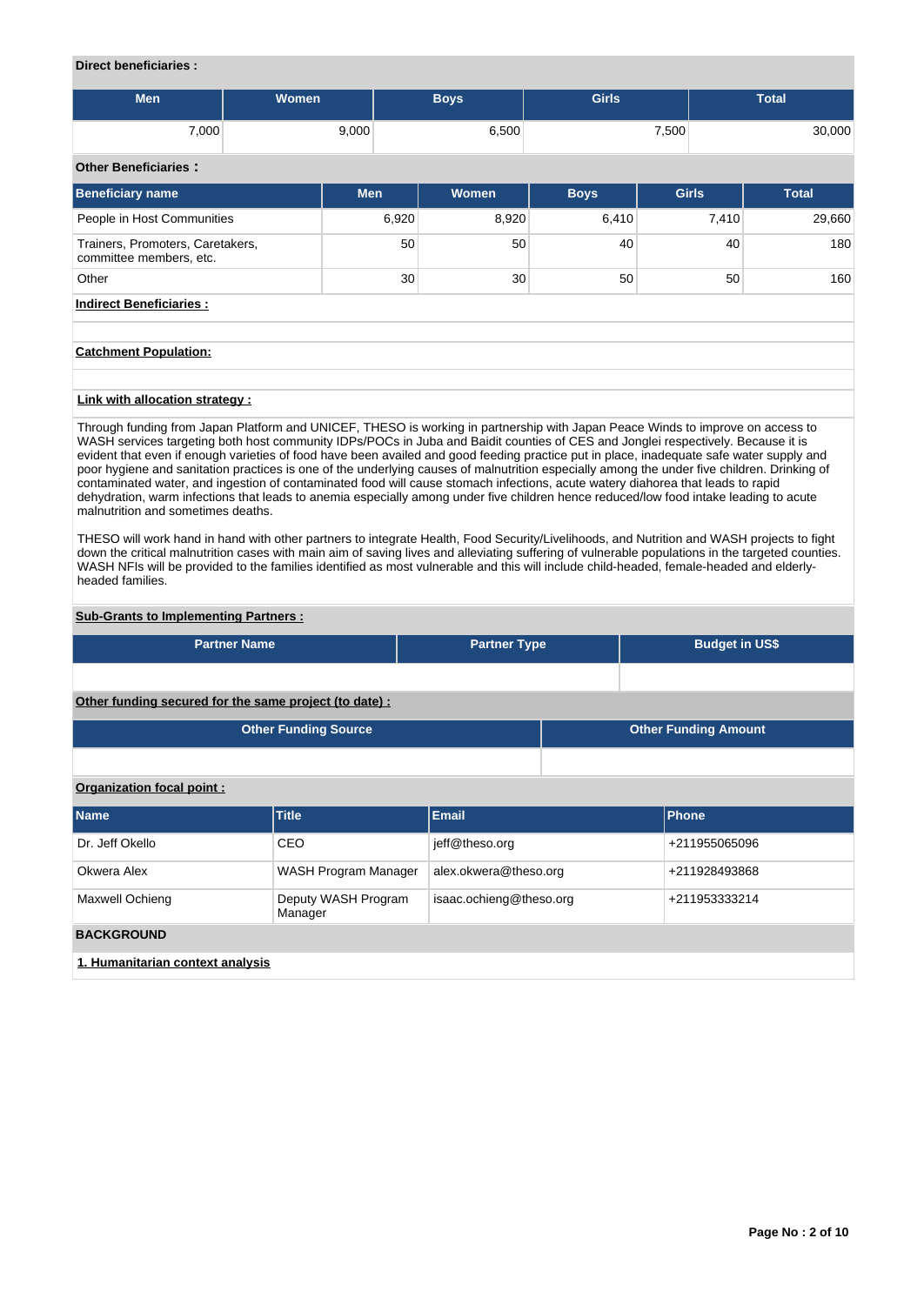## **Direct beneficiaries :**

| <b>Men</b> | Women | <b>Boys</b> | <b>Girls</b> | <b>Total</b> |
|------------|-------|-------------|--------------|--------------|
| 7,000      | 9,000 | 6,500       | 7,500        | 30,000       |

# **Other Beneficiaries :**

| 9.1191 19.119141 19.91                                      |                 |       |             |                 |              |
|-------------------------------------------------------------|-----------------|-------|-------------|-----------------|--------------|
| <b>Beneficiary name</b>                                     | <b>Men</b>      | Women | <b>Boys</b> | <b>Girls</b>    | <b>Total</b> |
| People in Host Communities                                  | 6,920           | 8,920 | 6,410       | 7,410           | 29,660       |
| Trainers, Promoters, Caretakers,<br>committee members, etc. | 50 <sup>1</sup> | 50    | 40          | 40              | 180          |
| Other                                                       | 30 <sup>1</sup> | 30    | 50          | 50 <sup>1</sup> | 160          |
| <b>Indirect Beneficiaries:</b>                              |                 |       |             |                 |              |

## **Catchment Population:**

### **Link with allocation strategy :**

Through funding from Japan Platform and UNICEF, THESO is working in partnership with Japan Peace Winds to improve on access to WASH services targeting both host community IDPs/POCs in Juba and Baidit counties of CES and Jonglei respectively. Because it is evident that even if enough varieties of food have been availed and good feeding practice put in place, inadequate safe water supply and poor hygiene and sanitation practices is one of the underlying causes of malnutrition especially among the under five children. Drinking of contaminated water, and ingestion of contaminated food will cause stomach infections, acute watery diahorea that leads to rapid dehydration, warm infections that leads to anemia especially among under five children hence reduced/low food intake leading to acute malnutrition and sometimes deaths.

THESO will work hand in hand with other partners to integrate Health, Food Security/Livelihoods, and Nutrition and WASH projects to fight down the critical malnutrition cases with main aim of saving lives and alleviating suffering of vulnerable populations in the targeted counties. WASH NFIs will be provided to the families identified as most vulnerable and this will include child-headed, female-headed and elderlyheaded families.

### **Sub-Grants to Implementing Partners :**

| <b>Partner Name</b>                                    | <b>Partner Type</b> |  | <b>Budget in US\$</b>       |  |
|--------------------------------------------------------|---------------------|--|-----------------------------|--|
|                                                        |                     |  |                             |  |
| Other funding secured for the same project (to date) : |                     |  |                             |  |
| <b>Other Funding Source</b>                            |                     |  | <b>Other Funding Amount</b> |  |
|                                                        |                     |  |                             |  |

**Organization focal point :**

| <b>Name</b>                      | <b>Title</b>                   | <b>Email</b>            | <b>Phone</b>  |  |  |  |
|----------------------------------|--------------------------------|-------------------------|---------------|--|--|--|
| Dr. Jeff Okello                  | CEO                            | jeff@theso.org          | +211955065096 |  |  |  |
| Okwera Alex                      | WASH Program Manager           | alex.okwera@theso.org   | +211928493868 |  |  |  |
| Maxwell Ochieng                  | Deputy WASH Program<br>Manager | isaac.ochieng@theso.org | +211953333214 |  |  |  |
| <b>BACKGROUND</b>                |                                |                         |               |  |  |  |
| 1. Humanitarian context analysis |                                |                         |               |  |  |  |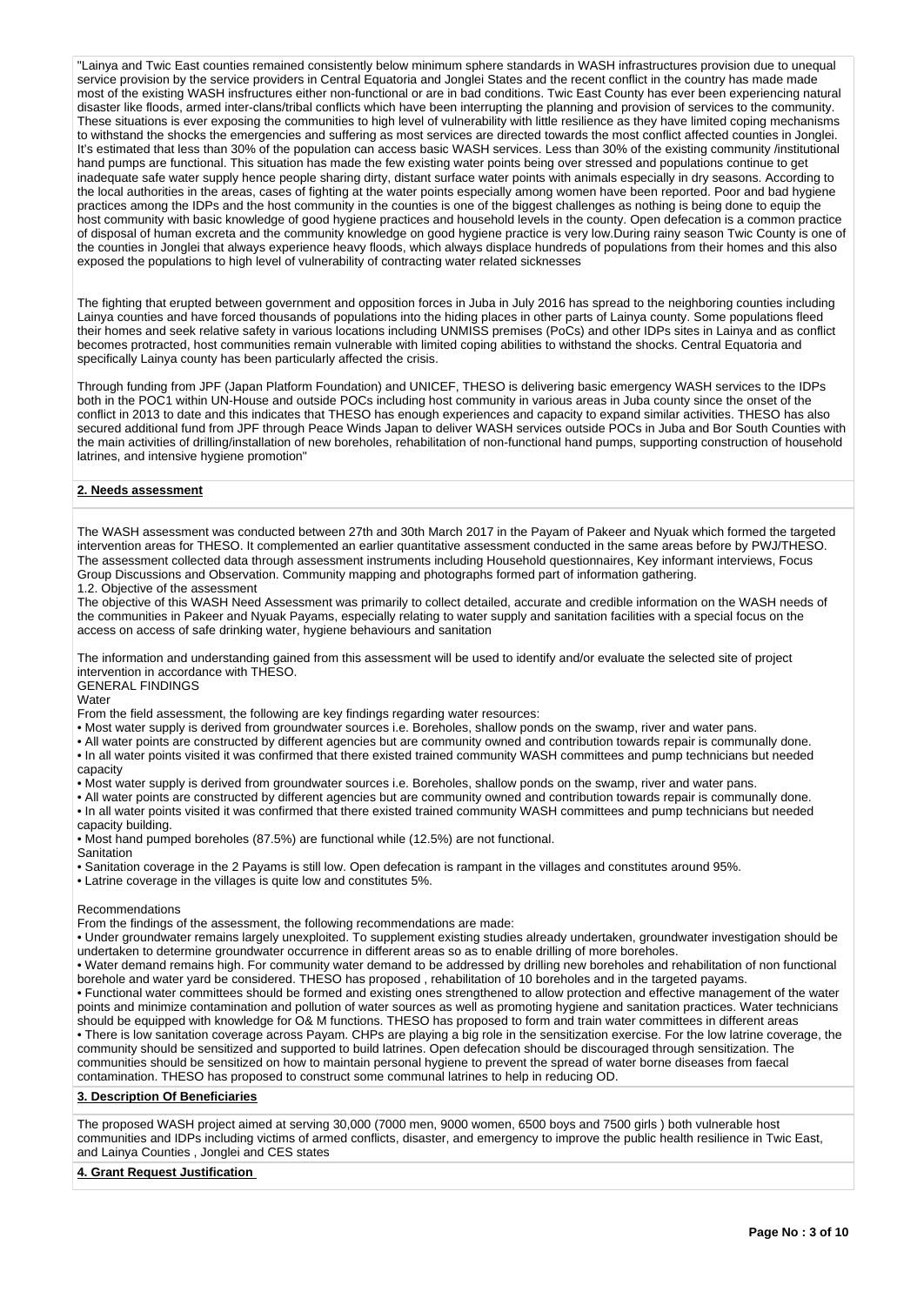"Lainya and Twic East counties remained consistently below minimum sphere standards in WASH infrastructures provision due to unequal service provision by the service providers in Central Equatoria and Jonglei States and the recent conflict in the country has made made most of the existing WASH insfructures either non-functional or are in bad conditions. Twic East County has ever been experiencing natural disaster like floods, armed inter-clans/tribal conflicts which have been interrupting the planning and provision of services to the community. These situations is ever exposing the communities to high level of vulnerability with little resilience as they have limited coping mechanisms to withstand the shocks the emergencies and suffering as most services are directed towards the most conflict affected counties in Jonglei. It's estimated that less than 30% of the population can access basic WASH services. Less than 30% of the existing community /institutional hand pumps are functional. This situation has made the few existing water points being over stressed and populations continue to get inadequate safe water supply hence people sharing dirty, distant surface water points with animals especially in dry seasons. According to the local authorities in the areas, cases of fighting at the water points especially among women have been reported. Poor and bad hygiene practices among the IDPs and the host community in the counties is one of the biggest challenges as nothing is being done to equip the host community with basic knowledge of good hygiene practices and household levels in the county. Open defecation is a common practice of disposal of human excreta and the community knowledge on good hygiene practice is very low.During rainy season Twic County is one of the counties in Jonglei that always experience heavy floods, which always displace hundreds of populations from their homes and this also exposed the populations to high level of vulnerability of contracting water related sicknesses

The fighting that erupted between government and opposition forces in Juba in July 2016 has spread to the neighboring counties including Lainya counties and have forced thousands of populations into the hiding places in other parts of Lainya county. Some populations fleed their homes and seek relative safety in various locations including UNMISS premises (PoCs) and other IDPs sites in Lainya and as conflict becomes protracted, host communities remain vulnerable with limited coping abilities to withstand the shocks. Central Equatoria and specifically Lainya county has been particularly affected the crisis.

Through funding from JPF (Japan Platform Foundation) and UNICEF, THESO is delivering basic emergency WASH services to the IDPs both in the POC1 within UN-House and outside POCs including host community in various areas in Juba county since the onset of the conflict in 2013 to date and this indicates that THESO has enough experiences and capacity to expand similar activities. THESO has also secured additional fund from JPF through Peace Winds Japan to deliver WASH services outside POCs in Juba and Bor South Counties with the main activities of drilling/installation of new boreholes, rehabilitation of non-functional hand pumps, supporting construction of household latrines, and intensive hygiene promotion"

## **2. Needs assessment**

The WASH assessment was conducted between 27th and 30th March 2017 in the Payam of Pakeer and Nyuak which formed the targeted intervention areas for THESO. It complemented an earlier quantitative assessment conducted in the same areas before by PWJ/THESO. The assessment collected data through assessment instruments including Household questionnaires, Key informant interviews, Focus Group Discussions and Observation. Community mapping and photographs formed part of information gathering.

#### 1.2. Objective of the assessment

The objective of this WASH Need Assessment was primarily to collect detailed, accurate and credible information on the WASH needs of the communities in Pakeer and Nyuak Payams, especially relating to water supply and sanitation facilities with a special focus on the access on access of safe drinking water, hygiene behaviours and sanitation

The information and understanding gained from this assessment will be used to identify and/or evaluate the selected site of project intervention in accordance with THESO.

GENERAL FINDINGS

**Water** 

From the field assessment, the following are key findings regarding water resources:

• Most water supply is derived from groundwater sources i.e. Boreholes, shallow ponds on the swamp, river and water pans.

• All water points are constructed by different agencies but are community owned and contribution towards repair is communally done. • In all water points visited it was confirmed that there existed trained community WASH committees and pump technicians but needed capacity

• Most water supply is derived from groundwater sources i.e. Boreholes, shallow ponds on the swamp, river and water pans.

• All water points are constructed by different agencies but are community owned and contribution towards repair is communally done. • In all water points visited it was confirmed that there existed trained community WASH committees and pump technicians but needed

capacity building.

• Most hand pumped boreholes (87.5%) are functional while (12.5%) are not functional. **Sanitation** 

- 
- Sanitation coverage in the 2 Payams is still low. Open defecation is rampant in the villages and constitutes around 95%.

• Latrine coverage in the villages is quite low and constitutes 5%.

#### Recommendations

From the findings of the assessment, the following recommendations are made:

• Under groundwater remains largely unexploited. To supplement existing studies already undertaken, groundwater investigation should be undertaken to determine groundwater occurrence in different areas so as to enable drilling of more boreholes.

• Water demand remains high. For community water demand to be addressed by drilling new boreholes and rehabilitation of non functional borehole and water yard be considered. THESO has proposed , rehabilitation of 10 boreholes and in the targeted payams.

• Functional water committees should be formed and existing ones strengthened to allow protection and effective management of the water points and minimize contamination and pollution of water sources as well as promoting hygiene and sanitation practices. Water technicians should be equipped with knowledge for O& M functions. THESO has proposed to form and train water committees in different areas

• There is low sanitation coverage across Payam. CHPs are playing a big role in the sensitization exercise. For the low latrine coverage, the community should be sensitized and supported to build latrines. Open defecation should be discouraged through sensitization. The communities should be sensitized on how to maintain personal hygiene to prevent the spread of water borne diseases from faecal contamination. THESO has proposed to construct some communal latrines to help in reducing OD.

## **3. Description Of Beneficiaries**

The proposed WASH project aimed at serving 30,000 (7000 men, 9000 women, 6500 boys and 7500 girls ) both vulnerable host communities and IDPs including victims of armed conflicts, disaster, and emergency to improve the public health resilience in Twic East, and Lainya Counties , Jonglei and CES states

## **4. Grant Request Justification**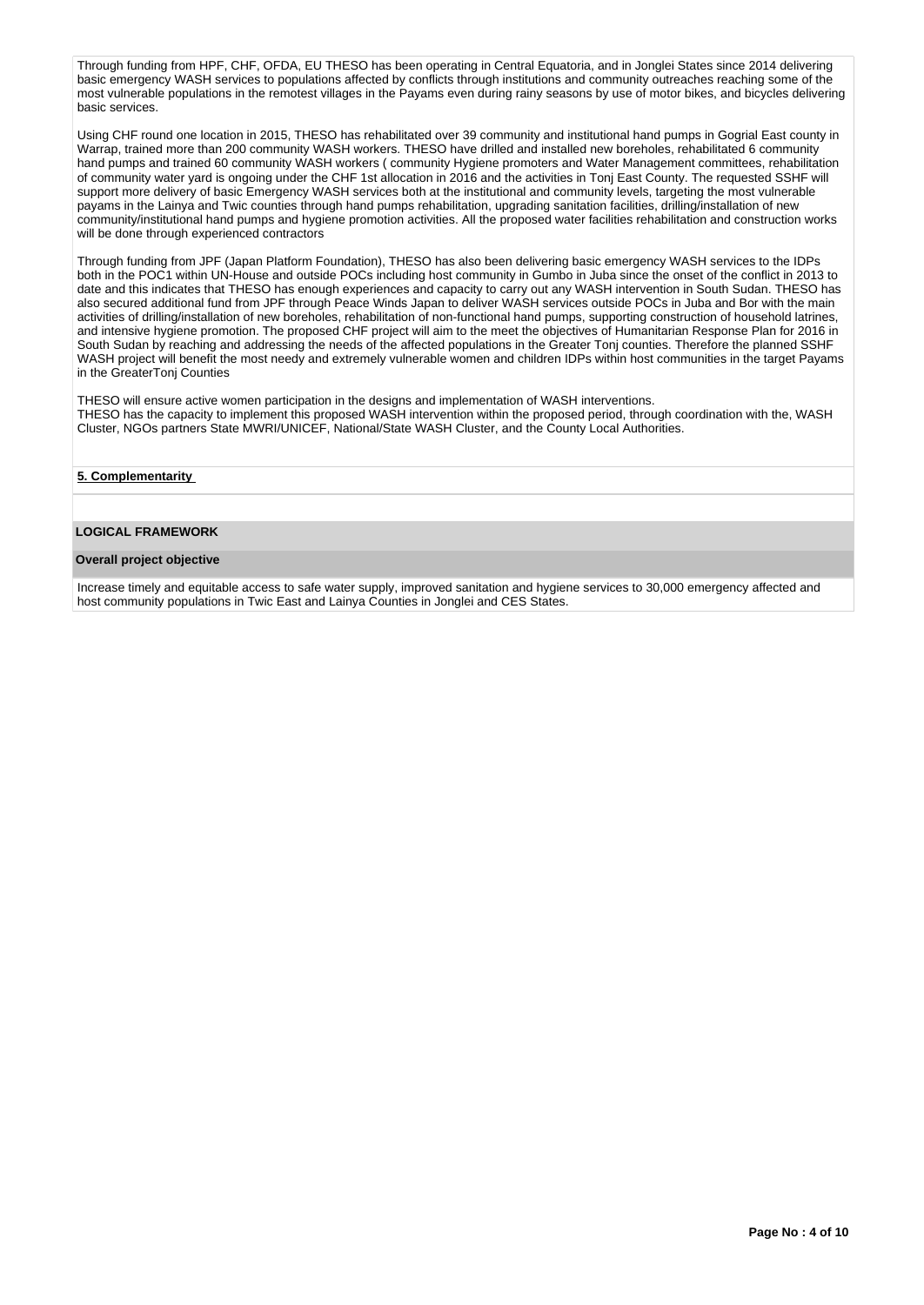Through funding from HPF, CHF, OFDA, EU THESO has been operating in Central Equatoria, and in Jonglei States since 2014 delivering basic emergency WASH services to populations affected by conflicts through institutions and community outreaches reaching some of the most vulnerable populations in the remotest villages in the Payams even during rainy seasons by use of motor bikes, and bicycles delivering basic services.

Using CHF round one location in 2015, THESO has rehabilitated over 39 community and institutional hand pumps in Gogrial East county in Warrap, trained more than 200 community WASH workers. THESO have drilled and installed new boreholes, rehabilitated 6 community hand pumps and trained 60 community WASH workers ( community Hygiene promoters and Water Management committees, rehabilitation of community water yard is ongoing under the CHF 1st allocation in 2016 and the activities in Tonj East County. The requested SSHF will support more delivery of basic Emergency WASH services both at the institutional and community levels, targeting the most vulnerable payams in the Lainya and Twic counties through hand pumps rehabilitation, upgrading sanitation facilities, drilling/installation of new community/institutional hand pumps and hygiene promotion activities. All the proposed water facilities rehabilitation and construction works will be done through experienced contractors

Through funding from JPF (Japan Platform Foundation), THESO has also been delivering basic emergency WASH services to the IDPs both in the POC1 within UN-House and outside POCs including host community in Gumbo in Juba since the onset of the conflict in 2013 to date and this indicates that THESO has enough experiences and capacity to carry out any WASH intervention in South Sudan. THESO has also secured additional fund from JPF through Peace Winds Japan to deliver WASH services outside POCs in Juba and Bor with the main activities of drilling/installation of new boreholes, rehabilitation of non-functional hand pumps, supporting construction of household latrines, and intensive hygiene promotion. The proposed CHF project will aim to the meet the objectives of Humanitarian Response Plan for 2016 in South Sudan by reaching and addressing the needs of the affected populations in the Greater Tonj counties. Therefore the planned SSHF WASH project will benefit the most needy and extremely vulnerable women and children IDPs within host communities in the target Payams in the GreaterTonj Counties

THESO will ensure active women participation in the designs and implementation of WASH interventions. THESO has the capacity to implement this proposed WASH intervention within the proposed period, through coordination with the, WASH Cluster, NGOs partners State MWRI/UNICEF, National/State WASH Cluster, and the County Local Authorities.

### **5. Complementarity**

## **LOGICAL FRAMEWORK**

### **Overall project objective**

Increase timely and equitable access to safe water supply, improved sanitation and hygiene services to 30,000 emergency affected and host community populations in Twic East and Lainya Counties in Jonglei and CES States.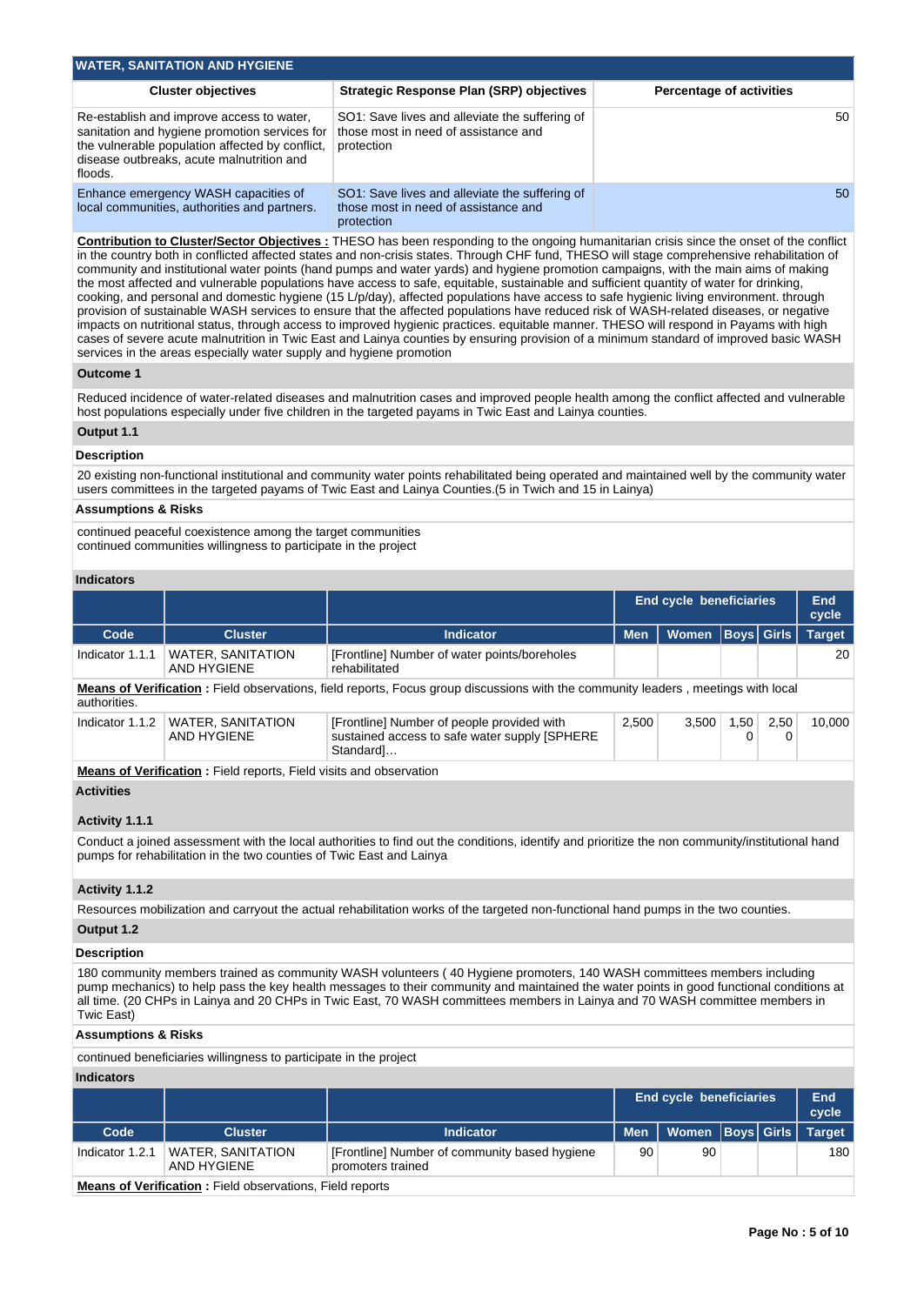| <b>WATER, SANITATION AND HYGIENE</b>                                                                                                                                                                  |                                                                                                      |                                 |  |  |  |  |  |  |
|-------------------------------------------------------------------------------------------------------------------------------------------------------------------------------------------------------|------------------------------------------------------------------------------------------------------|---------------------------------|--|--|--|--|--|--|
| <b>Cluster objectives</b>                                                                                                                                                                             | Strategic Response Plan (SRP) objectives                                                             | <b>Percentage of activities</b> |  |  |  |  |  |  |
| Re-establish and improve access to water.<br>sanitation and hygiene promotion services for<br>the vulnerable population affected by conflict,<br>disease outbreaks, acute malnutrition and<br>floods. | SO1: Save lives and alleviate the suffering of<br>those most in need of assistance and<br>protection | 50                              |  |  |  |  |  |  |
| Enhance emergency WASH capacities of<br>local communities, authorities and partners.                                                                                                                  | SO1: Save lives and alleviate the suffering of<br>those most in need of assistance and<br>protection | 50                              |  |  |  |  |  |  |

**Contribution to Cluster/Sector Objectives :** THESO has been responding to the ongoing humanitarian crisis since the onset of the conflict in the country both in conflicted affected states and non-crisis states. Through CHF fund, THESO will stage comprehensive rehabilitation of community and institutional water points (hand pumps and water yards) and hygiene promotion campaigns, with the main aims of making the most affected and vulnerable populations have access to safe, equitable, sustainable and sufficient quantity of water for drinking, cooking, and personal and domestic hygiene (15 L/p/day), affected populations have access to safe hygienic living environment. through provision of sustainable WASH services to ensure that the affected populations have reduced risk of WASH-related diseases, or negative impacts on nutritional status, through access to improved hygienic practices. equitable manner. THESO will respond in Payams with high cases of severe acute malnutrition in Twic East and Lainya counties by ensuring provision of a minimum standard of improved basic WASH services in the areas especially water supply and hygiene promotion

## **Outcome 1**

Reduced incidence of water-related diseases and malnutrition cases and improved people health among the conflict affected and vulnerable host populations especially under five children in the targeted payams in Twic East and Lainya counties.

## **Output 1.1**

### **Description**

20 existing non-functional institutional and community water points rehabilitated being operated and maintained well by the community water users committees in the targeted payams of Twic East and Lainya Counties.(5 in Twich and 15 in Lainya)

### **Assumptions & Risks**

continued peaceful coexistence among the target communities continued communities willingness to participate in the project

## **Indicators**

|                                                                                                                                                                                                                                                                                                                                                                                                                   |                                                                      |                                                                                                                                                 | <b>End cycle beneficiaries</b> |                         |                   | End<br>cycle |               |
|-------------------------------------------------------------------------------------------------------------------------------------------------------------------------------------------------------------------------------------------------------------------------------------------------------------------------------------------------------------------------------------------------------------------|----------------------------------------------------------------------|-------------------------------------------------------------------------------------------------------------------------------------------------|--------------------------------|-------------------------|-------------------|--------------|---------------|
| Code                                                                                                                                                                                                                                                                                                                                                                                                              | <b>Cluster</b>                                                       | <b>Indicator</b>                                                                                                                                | <b>Men</b>                     | Women   Boys   Girls    |                   |              | <b>Target</b> |
| Indicator 1.1.1                                                                                                                                                                                                                                                                                                                                                                                                   | <b>WATER, SANITATION</b><br><b>AND HYGIENE</b>                       | [Frontline] Number of water points/boreholes<br>rehabilitated                                                                                   |                                |                         |                   |              | 20            |
| authorities.                                                                                                                                                                                                                                                                                                                                                                                                      |                                                                      | Means of Verification: Field observations, field reports, Focus group discussions with the community leaders, meetings with local               |                                |                         |                   |              |               |
| Indicator 1.1.2                                                                                                                                                                                                                                                                                                                                                                                                   | <b>WATER, SANITATION</b><br><b>AND HYGIENE</b>                       | [Frontline] Number of people provided with<br>sustained access to safe water supply [SPHERE<br>Standard]                                        | 2,500                          | 3,500                   | 1,50<br>0         | 2,50<br>0    | 10,000        |
|                                                                                                                                                                                                                                                                                                                                                                                                                   | Means of Verification: Field reports, Field visits and observation   |                                                                                                                                                 |                                |                         |                   |              |               |
| <b>Activities</b><br>Activity 1.1.1                                                                                                                                                                                                                                                                                                                                                                               |                                                                      |                                                                                                                                                 |                                |                         |                   |              |               |
|                                                                                                                                                                                                                                                                                                                                                                                                                   | pumps for rehabilitation in the two counties of Twic East and Lainya | Conduct a joined assessment with the local authorities to find out the conditions, identify and prioritize the non community/institutional hand |                                |                         |                   |              |               |
| Activity 1.1.2                                                                                                                                                                                                                                                                                                                                                                                                    |                                                                      |                                                                                                                                                 |                                |                         |                   |              |               |
|                                                                                                                                                                                                                                                                                                                                                                                                                   |                                                                      | Resources mobilization and carryout the actual rehabilitation works of the targeted non-functional hand pumps in the two counties.              |                                |                         |                   |              |               |
| Output 1.2                                                                                                                                                                                                                                                                                                                                                                                                        |                                                                      |                                                                                                                                                 |                                |                         |                   |              |               |
| <b>Description</b>                                                                                                                                                                                                                                                                                                                                                                                                |                                                                      |                                                                                                                                                 |                                |                         |                   |              |               |
| 180 community members trained as community WASH volunteers (40 Hygiene promoters, 140 WASH committees members including<br>pump mechanics) to help pass the key health messages to their community and maintained the water points in good functional conditions at<br>all time. (20 CHPs in Lainya and 20 CHPs in Twic East, 70 WASH committees members in Lainya and 70 WASH committee members in<br>Twic East) |                                                                      |                                                                                                                                                 |                                |                         |                   |              |               |
| <b>Assumptions &amp; Risks</b>                                                                                                                                                                                                                                                                                                                                                                                    |                                                                      |                                                                                                                                                 |                                |                         |                   |              |               |
|                                                                                                                                                                                                                                                                                                                                                                                                                   | continued beneficiaries willingness to participate in the project    |                                                                                                                                                 |                                |                         |                   |              |               |
| <b>Indicators</b>                                                                                                                                                                                                                                                                                                                                                                                                 |                                                                      |                                                                                                                                                 |                                |                         |                   |              |               |
|                                                                                                                                                                                                                                                                                                                                                                                                                   |                                                                      |                                                                                                                                                 |                                | End cycle beneficiaries |                   |              | End<br>cycle  |
| Code                                                                                                                                                                                                                                                                                                                                                                                                              | <b>Cluster</b>                                                       | <b>Indicator</b>                                                                                                                                | <b>Men</b>                     | Women                   | <b>Boys</b> Girls |              | <b>Target</b> |
| Indicator 1.2.1                                                                                                                                                                                                                                                                                                                                                                                                   | <b>WATER, SANITATION</b><br><b>AND HYGIENE</b>                       | [Frontline] Number of community based hygiene<br>promoters trained                                                                              | 90                             | 90                      |                   |              | 180           |

**Means of Verification :** Field observations, Field reports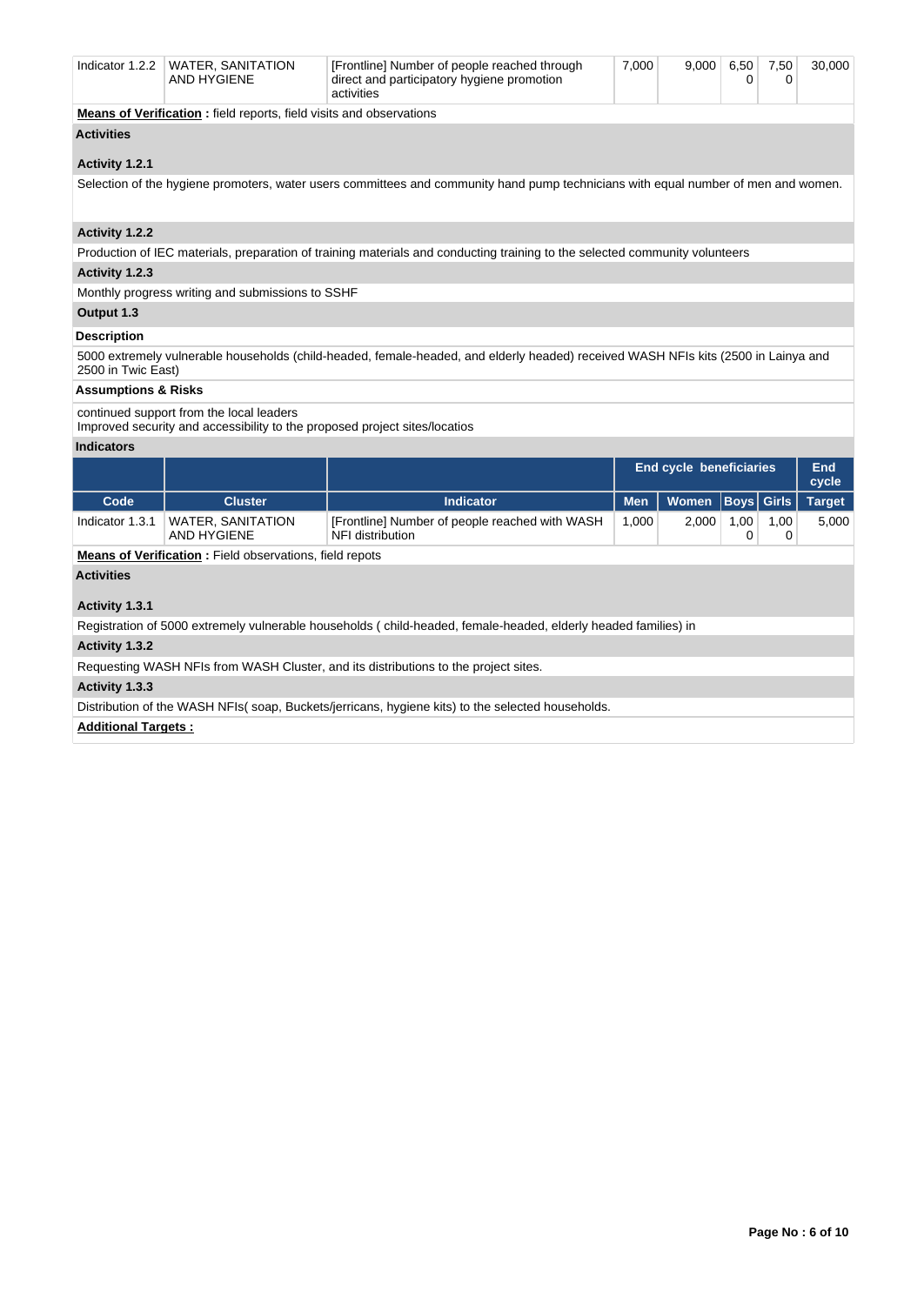| Indicator $1.2.2$              | <b>WATER, SANITATION</b><br><b>AND HYGIENE</b>                                                                         | [Frontline] Number of people reached through<br>direct and participatory hygiene promotion<br>activities                           | 7,000 | 9,000                   | 6,50<br>0 | 7,50<br>0 | 30,000 |
|--------------------------------|------------------------------------------------------------------------------------------------------------------------|------------------------------------------------------------------------------------------------------------------------------------|-------|-------------------------|-----------|-----------|--------|
|                                | <b>Means of Verification:</b> field reports, field visits and observations                                             |                                                                                                                                    |       |                         |           |           |        |
| <b>Activities</b>              |                                                                                                                        |                                                                                                                                    |       |                         |           |           |        |
| Activity 1.2.1                 |                                                                                                                        |                                                                                                                                    |       |                         |           |           |        |
|                                |                                                                                                                        | Selection of the hygiene promoters, water users committees and community hand pump technicians with equal number of men and women. |       |                         |           |           |        |
|                                |                                                                                                                        |                                                                                                                                    |       |                         |           |           |        |
| Activity 1.2.2                 |                                                                                                                        |                                                                                                                                    |       |                         |           |           |        |
|                                |                                                                                                                        | Production of IEC materials, preparation of training materials and conducting training to the selected community volunteers        |       |                         |           |           |        |
| Activity 1.2.3                 |                                                                                                                        |                                                                                                                                    |       |                         |           |           |        |
|                                | Monthly progress writing and submissions to SSHF                                                                       |                                                                                                                                    |       |                         |           |           |        |
| Output 1.3                     |                                                                                                                        |                                                                                                                                    |       |                         |           |           |        |
| <b>Description</b>             |                                                                                                                        |                                                                                                                                    |       |                         |           |           |        |
| 2500 in Twic East)             |                                                                                                                        | 5000 extremely vulnerable households (child-headed, female-headed, and elderly headed) received WASH NFIs kits (2500 in Lainya and |       |                         |           |           |        |
| <b>Assumptions &amp; Risks</b> |                                                                                                                        |                                                                                                                                    |       |                         |           |           |        |
|                                | continued support from the local leaders<br>Improved security and accessibility to the proposed project sites/locatios |                                                                                                                                    |       |                         |           |           |        |
| <b>Indicators</b>              |                                                                                                                        |                                                                                                                                    |       |                         |           |           |        |
|                                |                                                                                                                        |                                                                                                                                    |       | End cycle beneficiaries |           |           | End    |

|                                                                                                  |                                                                |                                                                                                                |            |              |                   |           | cycle         |
|--------------------------------------------------------------------------------------------------|----------------------------------------------------------------|----------------------------------------------------------------------------------------------------------------|------------|--------------|-------------------|-----------|---------------|
| Code                                                                                             | <b>Cluster</b>                                                 | <b>Indicator</b>                                                                                               | <b>Men</b> | <b>Women</b> | <b>Boys Girls</b> |           | <b>Target</b> |
| Indicator 1.3.1                                                                                  | <b>WATER, SANITATION</b><br>AND HYGIENE                        | [Frontline] Number of people reached with WASH<br>NFI distribution                                             | 1,000      | 2.000        | 1,00              | 1,00<br>0 | 5,000         |
|                                                                                                  | <b>Means of Verification:</b> Field observations, field repots |                                                                                                                |            |              |                   |           |               |
| <b>Activities</b>                                                                                |                                                                |                                                                                                                |            |              |                   |           |               |
| Activity 1.3.1                                                                                   |                                                                |                                                                                                                |            |              |                   |           |               |
|                                                                                                  |                                                                |                                                                                                                |            |              |                   |           |               |
|                                                                                                  |                                                                | Registration of 5000 extremely vulnerable households (child-headed, female-headed, elderly headed families) in |            |              |                   |           |               |
| Activity 1.3.2                                                                                   |                                                                |                                                                                                                |            |              |                   |           |               |
|                                                                                                  |                                                                | Requesting WASH NFIs from WASH Cluster, and its distributions to the project sites.                            |            |              |                   |           |               |
| Activity 1.3.3                                                                                   |                                                                |                                                                                                                |            |              |                   |           |               |
| Distribution of the WASH NFIs(soap, Buckets/jerricans, hygiene kits) to the selected households. |                                                                |                                                                                                                |            |              |                   |           |               |
| <b>Additional Targets:</b>                                                                       |                                                                |                                                                                                                |            |              |                   |           |               |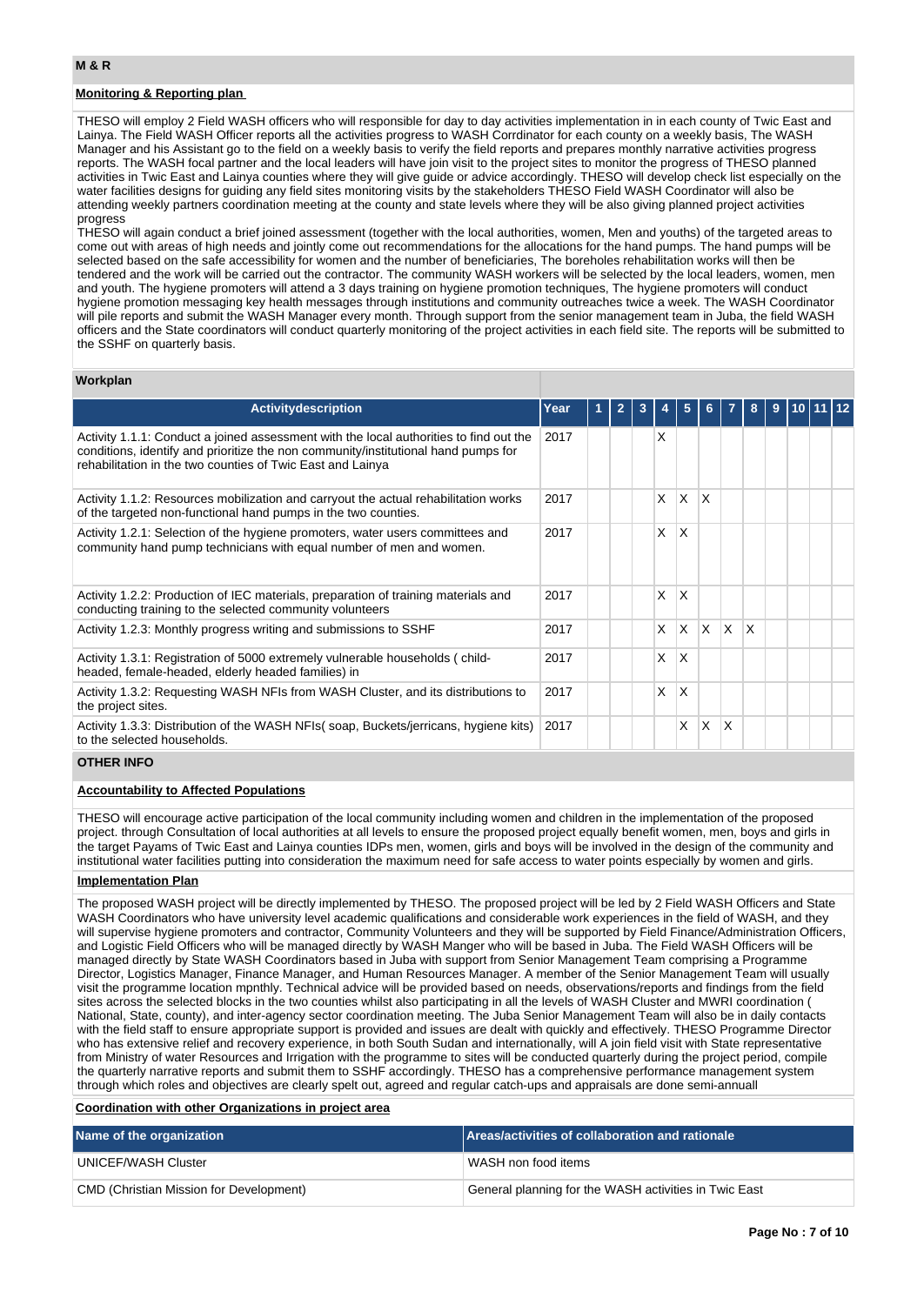## **Monitoring & Reporting plan**

THESO will employ 2 Field WASH officers who will responsible for day to day activities implementation in in each county of Twic East and Lainya. The Field WASH Officer reports all the activities progress to WASH Corrdinator for each county on a weekly basis, The WASH Manager and his Assistant go to the field on a weekly basis to verify the field reports and prepares monthly narrative activities progress reports. The WASH focal partner and the local leaders will have join visit to the project sites to monitor the progress of THESO planned activities in Twic East and Lainya counties where they will give guide or advice accordingly. THESO will develop check list especially on the water facilities designs for guiding any field sites monitoring visits by the stakeholders THESO Field WASH Coordinator will also be attending weekly partners coordination meeting at the county and state levels where they will be also giving planned project activities progress

THESO will again conduct a brief joined assessment (together with the local authorities, women, Men and youths) of the targeted areas to come out with areas of high needs and jointly come out recommendations for the allocations for the hand pumps. The hand pumps will be selected based on the safe accessibility for women and the number of beneficiaries, The boreholes rehabilitation works will then be tendered and the work will be carried out the contractor. The community WASH workers will be selected by the local leaders, women, men and youth. The hygiene promoters will attend a 3 days training on hygiene promotion techniques, The hygiene promoters will conduct hygiene promotion messaging key health messages through institutions and community outreaches twice a week. The WASH Coordinator will pile reports and submit the WASH Manager every month. Through support from the senior management team in Juba, the field WASH officers and the State coordinators will conduct quarterly monitoring of the project activities in each field site. The reports will be submitted to the SSHF on quarterly basis.

## **Workplan**

| <b>Activitydescription</b>                                                                                                                                                                                                                 | Year |  | 3 |   | 5        | 6.           |                 | 8 | 9 |  |  |
|--------------------------------------------------------------------------------------------------------------------------------------------------------------------------------------------------------------------------------------------|------|--|---|---|----------|--------------|-----------------|---|---|--|--|
| Activity 1.1.1: Conduct a joined assessment with the local authorities to find out the<br>conditions, identify and prioritize the non community/institutional hand pumps for<br>rehabilitation in the two counties of Twic East and Lainya | 2017 |  |   | X |          |              |                 |   |   |  |  |
| Activity 1.1.2: Resources mobilization and carryout the actual rehabilitation works<br>of the targeted non-functional hand pumps in the two counties.                                                                                      | 2017 |  |   | X | X        | X            |                 |   |   |  |  |
| Activity 1.2.1: Selection of the hygiene promoters, water users committees and<br>community hand pump technicians with equal number of men and women.                                                                                      | 2017 |  |   | X | X        |              |                 |   |   |  |  |
| Activity 1.2.2: Production of IEC materials, preparation of training materials and<br>conducting training to the selected community volunteers                                                                                             | 2017 |  |   | X | X        |              |                 |   |   |  |  |
| Activity 1.2.3: Monthly progress writing and submissions to SSHF                                                                                                                                                                           | 2017 |  |   | X | $\times$ | $\mathsf{x}$ | ΙX.             | X |   |  |  |
| Activity 1.3.1: Registration of 5000 extremely vulnerable households (child-<br>headed, female-headed, elderly headed families) in                                                                                                         | 2017 |  |   | X | X        |              |                 |   |   |  |  |
| Activity 1.3.2: Requesting WASH NFIs from WASH Cluster, and its distributions to<br>the project sites.                                                                                                                                     | 2017 |  |   | X | X        |              |                 |   |   |  |  |
| Activity 1.3.3: Distribution of the WASH NFIs(soap, Buckets/jerricans, hygiene kits)<br>to the selected households.                                                                                                                        | 2017 |  |   |   | X        | X            | $\mathsf{\chi}$ |   |   |  |  |

## **OTHER INFO**

## **Accountability to Affected Populations**

THESO will encourage active participation of the local community including women and children in the implementation of the proposed project. through Consultation of local authorities at all levels to ensure the proposed project equally benefit women, men, boys and girls in the target Payams of Twic East and Lainya counties IDPs men, women, girls and boys will be involved in the design of the community and institutional water facilities putting into consideration the maximum need for safe access to water points especially by women and girls.

#### **Implementation Plan**

The proposed WASH project will be directly implemented by THESO. The proposed project will be led by 2 Field WASH Officers and State WASH Coordinators who have university level academic qualifications and considerable work experiences in the field of WASH, and they will supervise hygiene promoters and contractor, Community Volunteers and they will be supported by Field Finance/Administration Officers, and Logistic Field Officers who will be managed directly by WASH Manger who will be based in Juba. The Field WASH Officers will be managed directly by State WASH Coordinators based in Juba with support from Senior Management Team comprising a Programme Director, Logistics Manager, Finance Manager, and Human Resources Manager. A member of the Senior Management Team will usually visit the programme location mpnthly. Technical advice will be provided based on needs, observations/reports and findings from the field sites across the selected blocks in the two counties whilst also participating in all the levels of WASH Cluster and MWRI coordination ( National, State, county), and inter-agency sector coordination meeting. The Juba Senior Management Team will also be in daily contacts with the field staff to ensure appropriate support is provided and issues are dealt with quickly and effectively. THESO Programme Director who has extensive relief and recovery experience, in both South Sudan and internationally, will A join field visit with State representative from Ministry of water Resources and Irrigation with the programme to sites will be conducted quarterly during the project period, compile the quarterly narrative reports and submit them to SSHF accordingly. THESO has a comprehensive performance management system through which roles and objectives are clearly spelt out, agreed and regular catch-ups and appraisals are done semi-annuall

## **Coordination with other Organizations in project area**

| Name of the organization                | Areas/activities of collaboration and rationale                    |  |  |  |  |  |
|-----------------------------------------|--------------------------------------------------------------------|--|--|--|--|--|
| UNICEF/WASH Cluster                     | WASH non food items                                                |  |  |  |  |  |
| CMD (Christian Mission for Development) | <sup>1</sup> General planning for the WASH activities in Twic East |  |  |  |  |  |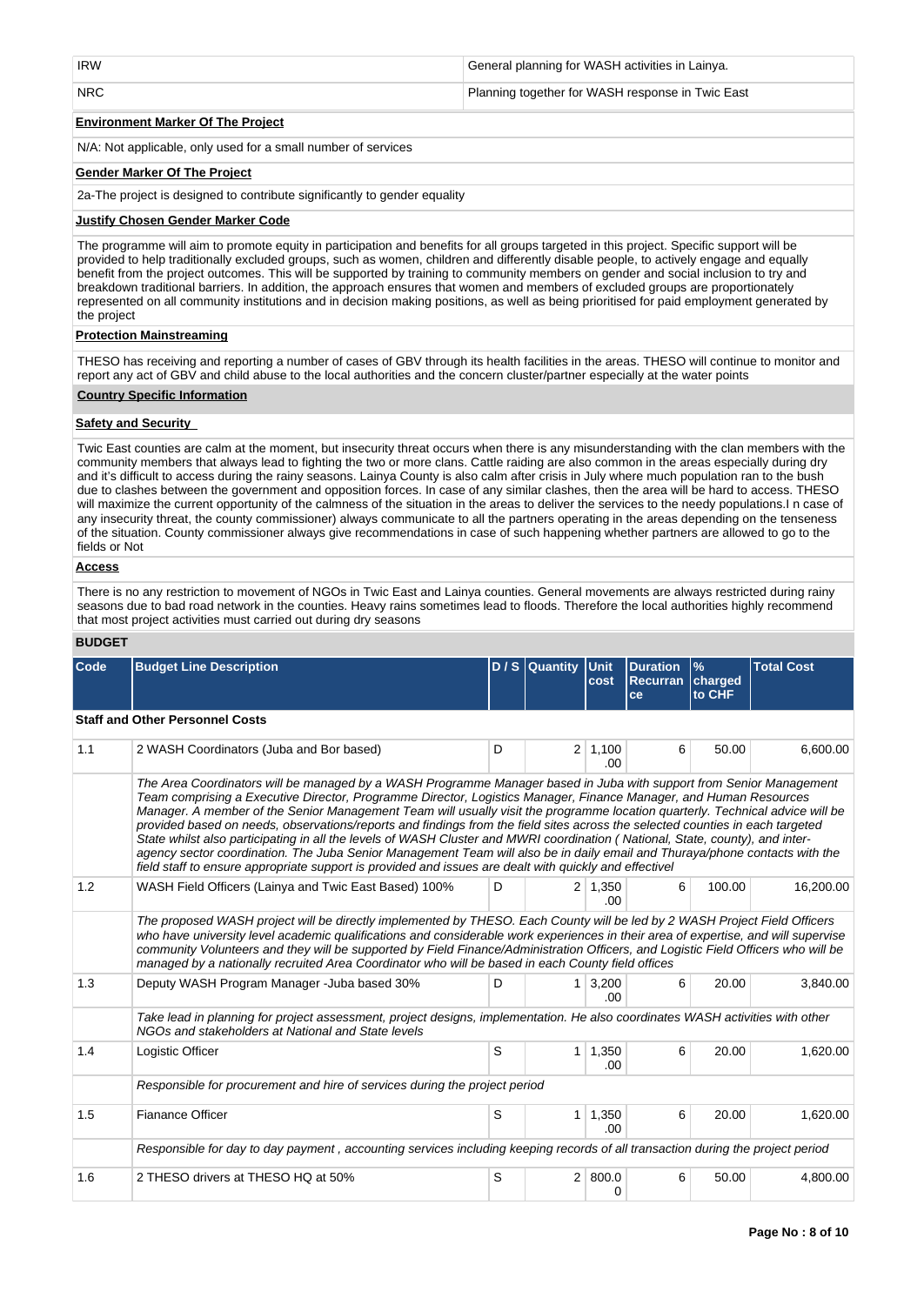| <b>IRW</b> | General planning for WASH activities in Lainya.  |
|------------|--------------------------------------------------|
| NRC        | Planning together for WASH response in Twic East |

## **Environment Marker Of The Project**

N/A: Not applicable, only used for a small number of services

## **Gender Marker Of The Project**

2a-The project is designed to contribute significantly to gender equality

## **Justify Chosen Gender Marker Code**

The programme will aim to promote equity in participation and benefits for all groups targeted in this project. Specific support will be provided to help traditionally excluded groups, such as women, children and differently disable people, to actively engage and equally benefit from the project outcomes. This will be supported by training to community members on gender and social inclusion to try and breakdown traditional barriers. In addition, the approach ensures that women and members of excluded groups are proportionately represented on all community institutions and in decision making positions, as well as being prioritised for paid employment generated by the project

## **Protection Mainstreaming**

THESO has receiving and reporting a number of cases of GBV through its health facilities in the areas. THESO will continue to monitor and report any act of GBV and child abuse to the local authorities and the concern cluster/partner especially at the water points

### **Country Specific Information**

### **Safety and Security**

Twic East counties are calm at the moment, but insecurity threat occurs when there is any misunderstanding with the clan members with the community members that always lead to fighting the two or more clans. Cattle raiding are also common in the areas especially during dry and it's difficult to access during the rainy seasons. Lainya County is also calm after crisis in July where much population ran to the bush due to clashes between the government and opposition forces. In case of any similar clashes, then the area will be hard to access. THESO will maximize the current opportunity of the calmness of the situation in the areas to deliver the services to the needy populations. In case of any insecurity threat, the county commissioner) always communicate to all the partners operating in the areas depending on the tenseness of the situation. County commissioner always give recommendations in case of such happening whether partners are allowed to go to the fields or Not

## **Access**

There is no any restriction to movement of NGOs in Twic East and Lainya counties. General movements are always restricted during rainy seasons due to bad road network in the counties. Heavy rains sometimes lead to floods. Therefore the local authorities highly recommend that most project activities must carried out during dry seasons

## **BUDGET**

| Code | <b>Budget Line Description</b>                                                                                                                                                                                                                                                                                                                                                                                                                                                                                                                                                                                                                                                                                                                                                                                                                                                       |   | $D/S$ Quantity | <b>Unit</b><br>cost    | <b>Duration</b><br><b>Recurran</b><br>ce | $\%$<br>charged<br>to CHF | <b>Total Cost</b> |  |  |  |
|------|--------------------------------------------------------------------------------------------------------------------------------------------------------------------------------------------------------------------------------------------------------------------------------------------------------------------------------------------------------------------------------------------------------------------------------------------------------------------------------------------------------------------------------------------------------------------------------------------------------------------------------------------------------------------------------------------------------------------------------------------------------------------------------------------------------------------------------------------------------------------------------------|---|----------------|------------------------|------------------------------------------|---------------------------|-------------------|--|--|--|
|      | <b>Staff and Other Personnel Costs</b>                                                                                                                                                                                                                                                                                                                                                                                                                                                                                                                                                                                                                                                                                                                                                                                                                                               |   |                |                        |                                          |                           |                   |  |  |  |
| 1.1  | 2 WASH Coordinators (Juba and Bor based)                                                                                                                                                                                                                                                                                                                                                                                                                                                                                                                                                                                                                                                                                                                                                                                                                                             | D |                | $2 \mid 1,100$<br>.00. | 6                                        | 50.00                     | 6,600.00          |  |  |  |
|      | The Area Coordinators will be managed by a WASH Programme Manager based in Juba with support from Senior Management<br>Team comprising a Executive Director, Programme Director, Logistics Manager, Finance Manager, and Human Resources<br>Manager. A member of the Senior Management Team will usually visit the programme location quarterly. Technical advice will be<br>provided based on needs, observations/reports and findings from the field sites across the selected counties in each targeted<br>State whilst also participating in all the levels of WASH Cluster and MWRI coordination (National, State, county), and inter-<br>agency sector coordination. The Juba Senior Management Team will also be in daily email and Thuraya/phone contacts with the<br>field staff to ensure appropriate support is provided and issues are dealt with quickly and effectivel |   |                |                        |                                          |                           |                   |  |  |  |
| 1.2  | WASH Field Officers (Lainya and Twic East Based) 100%                                                                                                                                                                                                                                                                                                                                                                                                                                                                                                                                                                                                                                                                                                                                                                                                                                | D |                | $2 \mid 1,350$<br>.00. | 6                                        | 100.00                    | 16,200.00         |  |  |  |
|      | The proposed WASH project will be directly implemented by THESO. Each County will be led by 2 WASH Project Field Officers<br>who have university level academic qualifications and considerable work experiences in their area of expertise, and will supervise<br>community Volunteers and they will be supported by Field Finance/Administration Officers, and Logistic Field Officers who will be<br>managed by a nationally recruited Area Coordinator who will be based in each County field offices                                                                                                                                                                                                                                                                                                                                                                            |   |                |                        |                                          |                           |                   |  |  |  |
| 1.3  | Deputy WASH Program Manager - Juba based 30%                                                                                                                                                                                                                                                                                                                                                                                                                                                                                                                                                                                                                                                                                                                                                                                                                                         | D | $1 \mid$       | 3,200<br>.00.          | 6                                        | 20.00                     | 3,840.00          |  |  |  |
|      | Take lead in planning for project assessment, project designs, implementation. He also coordinates WASH activities with other<br>NGOs and stakeholders at National and State levels                                                                                                                                                                                                                                                                                                                                                                                                                                                                                                                                                                                                                                                                                                  |   |                |                        |                                          |                           |                   |  |  |  |
| 1.4  | Logistic Officer                                                                                                                                                                                                                                                                                                                                                                                                                                                                                                                                                                                                                                                                                                                                                                                                                                                                     | S | $\mathbf{1}$   | 1,350<br>.00.          | 6                                        | 20.00                     | 1,620.00          |  |  |  |
|      | Responsible for procurement and hire of services during the project period                                                                                                                                                                                                                                                                                                                                                                                                                                                                                                                                                                                                                                                                                                                                                                                                           |   |                |                        |                                          |                           |                   |  |  |  |
| 1.5  | <b>Fianance Officer</b>                                                                                                                                                                                                                                                                                                                                                                                                                                                                                                                                                                                                                                                                                                                                                                                                                                                              | S | $\mathbf{1}$   | 1,350<br>.00.          | 6                                        | 20.00                     | 1,620.00          |  |  |  |
|      | Responsible for day to day payment, accounting services including keeping records of all transaction during the project period                                                                                                                                                                                                                                                                                                                                                                                                                                                                                                                                                                                                                                                                                                                                                       |   |                |                        |                                          |                           |                   |  |  |  |
| 1.6  | 2 THESO drivers at THESO HQ at 50%                                                                                                                                                                                                                                                                                                                                                                                                                                                                                                                                                                                                                                                                                                                                                                                                                                                   | S |                | 2   800.0<br>0         | 6                                        | 50.00                     | 4,800.00          |  |  |  |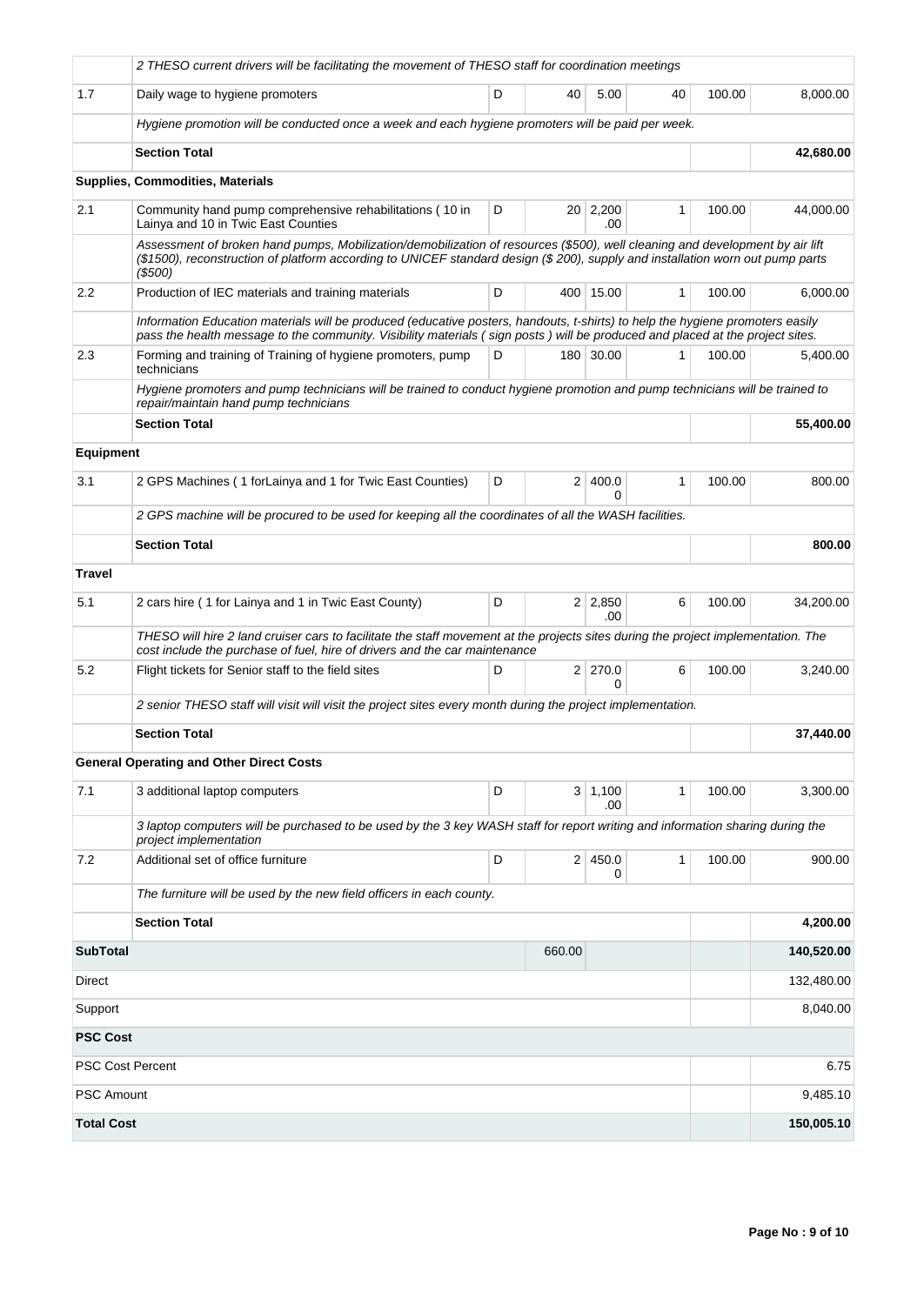|                                                                                                                                                                      | 2 THESO current drivers will be facilitating the movement of THESO staff for coordination meetings                                                                                                                                                                       |                                                                                                                                                                                                                                                                |                |                        |              |        |            |  |  |
|----------------------------------------------------------------------------------------------------------------------------------------------------------------------|--------------------------------------------------------------------------------------------------------------------------------------------------------------------------------------------------------------------------------------------------------------------------|----------------------------------------------------------------------------------------------------------------------------------------------------------------------------------------------------------------------------------------------------------------|----------------|------------------------|--------------|--------|------------|--|--|
| 1.7                                                                                                                                                                  | Daily wage to hygiene promoters                                                                                                                                                                                                                                          | D                                                                                                                                                                                                                                                              | 40             | 5.00                   | 40           | 100.00 | 8,000.00   |  |  |
|                                                                                                                                                                      | Hygiene promotion will be conducted once a week and each hygiene promoters will be paid per week.                                                                                                                                                                        |                                                                                                                                                                                                                                                                |                |                        |              |        |            |  |  |
|                                                                                                                                                                      | <b>Section Total</b>                                                                                                                                                                                                                                                     |                                                                                                                                                                                                                                                                |                |                        |              |        | 42,680.00  |  |  |
|                                                                                                                                                                      | <b>Supplies, Commodities, Materials</b>                                                                                                                                                                                                                                  |                                                                                                                                                                                                                                                                |                |                        |              |        |            |  |  |
| 2.1                                                                                                                                                                  | Community hand pump comprehensive rehabilitations (10 in<br>Lainya and 10 in Twic East Counties                                                                                                                                                                          | D                                                                                                                                                                                                                                                              |                | 20 2,200<br>.00        | $\mathbf{1}$ | 100.00 | 44,000.00  |  |  |
|                                                                                                                                                                      | Assessment of broken hand pumps, Mobilization/demobilization of resources (\$500), well cleaning and development by air lift<br>(\$1500), reconstruction of platform according to UNICEF standard design (\$200), supply and installation worn out pump parts<br>(\$500) |                                                                                                                                                                                                                                                                |                |                        |              |        |            |  |  |
| 2.2                                                                                                                                                                  | Production of IEC materials and training materials                                                                                                                                                                                                                       | 100.00                                                                                                                                                                                                                                                         | 6,000.00       |                        |              |        |            |  |  |
|                                                                                                                                                                      |                                                                                                                                                                                                                                                                          | Information Education materials will be produced (educative posters, handouts, t-shirts) to help the hygiene promoters easily<br>pass the health message to the community. Visibility materials (sign posts) will be produced and placed at the project sites. |                |                        |              |        |            |  |  |
| 2.3                                                                                                                                                                  | Forming and training of Training of hygiene promoters, pump<br>D<br>180 30.00<br>1<br>technicians                                                                                                                                                                        |                                                                                                                                                                                                                                                                |                |                        |              |        | 5,400.00   |  |  |
| Hygiene promoters and pump technicians will be trained to conduct hygiene promotion and pump technicians will be trained to<br>repair/maintain hand pump technicians |                                                                                                                                                                                                                                                                          |                                                                                                                                                                                                                                                                |                |                        |              |        |            |  |  |
|                                                                                                                                                                      | <b>Section Total</b>                                                                                                                                                                                                                                                     |                                                                                                                                                                                                                                                                |                | 55,400.00              |              |        |            |  |  |
| <b>Equipment</b>                                                                                                                                                     |                                                                                                                                                                                                                                                                          |                                                                                                                                                                                                                                                                |                |                        |              |        |            |  |  |
| 3.1                                                                                                                                                                  | 2 GPS Machines (1 for Lainya and 1 for Twic East Counties)                                                                                                                                                                                                               | D                                                                                                                                                                                                                                                              | 2 <sup>1</sup> | 400.0<br>$\Omega$      | 1            | 100.00 | 800.00     |  |  |
| 2 GPS machine will be procured to be used for keeping all the coordinates of all the WASH facilities.                                                                |                                                                                                                                                                                                                                                                          |                                                                                                                                                                                                                                                                |                |                        |              |        |            |  |  |
|                                                                                                                                                                      | <b>Section Total</b>                                                                                                                                                                                                                                                     |                                                                                                                                                                                                                                                                |                |                        |              |        | 800.00     |  |  |
| <b>Travel</b>                                                                                                                                                        |                                                                                                                                                                                                                                                                          |                                                                                                                                                                                                                                                                |                |                        |              |        |            |  |  |
| 5.1                                                                                                                                                                  | 2 cars hire (1 for Lainya and 1 in Twic East County)                                                                                                                                                                                                                     | D                                                                                                                                                                                                                                                              |                | $2 \mid 2,850$<br>.00  | 6            | 100.00 | 34,200.00  |  |  |
|                                                                                                                                                                      | THESO will hire 2 land cruiser cars to facilitate the staff movement at the projects sites during the project implementation. The<br>cost include the purchase of fuel, hire of drivers and the car maintenance                                                          |                                                                                                                                                                                                                                                                |                |                        |              |        |            |  |  |
| 5.2                                                                                                                                                                  | Flight tickets for Senior staff to the field sites                                                                                                                                                                                                                       | D                                                                                                                                                                                                                                                              |                | 2 270.0<br>0           | 6            | 100.00 | 3,240.00   |  |  |
|                                                                                                                                                                      | 2 senior THESO staff will visit will visit the project sites every month during the project implementation.                                                                                                                                                              |                                                                                                                                                                                                                                                                |                |                        |              |        |            |  |  |
|                                                                                                                                                                      | <b>Section Total</b>                                                                                                                                                                                                                                                     |                                                                                                                                                                                                                                                                |                | 37,440.00              |              |        |            |  |  |
|                                                                                                                                                                      | <b>General Operating and Other Direct Costs</b>                                                                                                                                                                                                                          |                                                                                                                                                                                                                                                                |                |                        |              |        |            |  |  |
| 7.1                                                                                                                                                                  | 3 additional laptop computers                                                                                                                                                                                                                                            | D                                                                                                                                                                                                                                                              |                | $3 \mid 1,100$<br>.00. | 1            | 100.00 | 3,300.00   |  |  |
|                                                                                                                                                                      | 3 laptop computers will be purchased to be used by the 3 key WASH staff for report writing and information sharing during the<br>project implementation                                                                                                                  |                                                                                                                                                                                                                                                                |                |                        |              |        |            |  |  |
| 7.2                                                                                                                                                                  | Additional set of office furniture                                                                                                                                                                                                                                       | D                                                                                                                                                                                                                                                              |                | 2 450.0<br>0           | 1            | 100.00 | 900.00     |  |  |
|                                                                                                                                                                      | The furniture will be used by the new field officers in each county.                                                                                                                                                                                                     |                                                                                                                                                                                                                                                                |                |                        |              |        |            |  |  |
|                                                                                                                                                                      | <b>Section Total</b>                                                                                                                                                                                                                                                     |                                                                                                                                                                                                                                                                |                |                        |              |        | 4,200.00   |  |  |
| <b>SubTotal</b>                                                                                                                                                      |                                                                                                                                                                                                                                                                          |                                                                                                                                                                                                                                                                |                | 140,520.00             |              |        |            |  |  |
| Direct                                                                                                                                                               |                                                                                                                                                                                                                                                                          |                                                                                                                                                                                                                                                                |                | 132,480.00             |              |        |            |  |  |
| Support                                                                                                                                                              |                                                                                                                                                                                                                                                                          |                                                                                                                                                                                                                                                                |                |                        |              |        | 8,040.00   |  |  |
| <b>PSC Cost</b>                                                                                                                                                      |                                                                                                                                                                                                                                                                          |                                                                                                                                                                                                                                                                |                |                        |              |        |            |  |  |
| <b>PSC Cost Percent</b>                                                                                                                                              |                                                                                                                                                                                                                                                                          |                                                                                                                                                                                                                                                                |                |                        |              |        | 6.75       |  |  |
| <b>PSC Amount</b>                                                                                                                                                    |                                                                                                                                                                                                                                                                          |                                                                                                                                                                                                                                                                |                |                        |              |        | 9,485.10   |  |  |
| <b>Total Cost</b>                                                                                                                                                    |                                                                                                                                                                                                                                                                          |                                                                                                                                                                                                                                                                |                |                        |              |        | 150,005.10 |  |  |